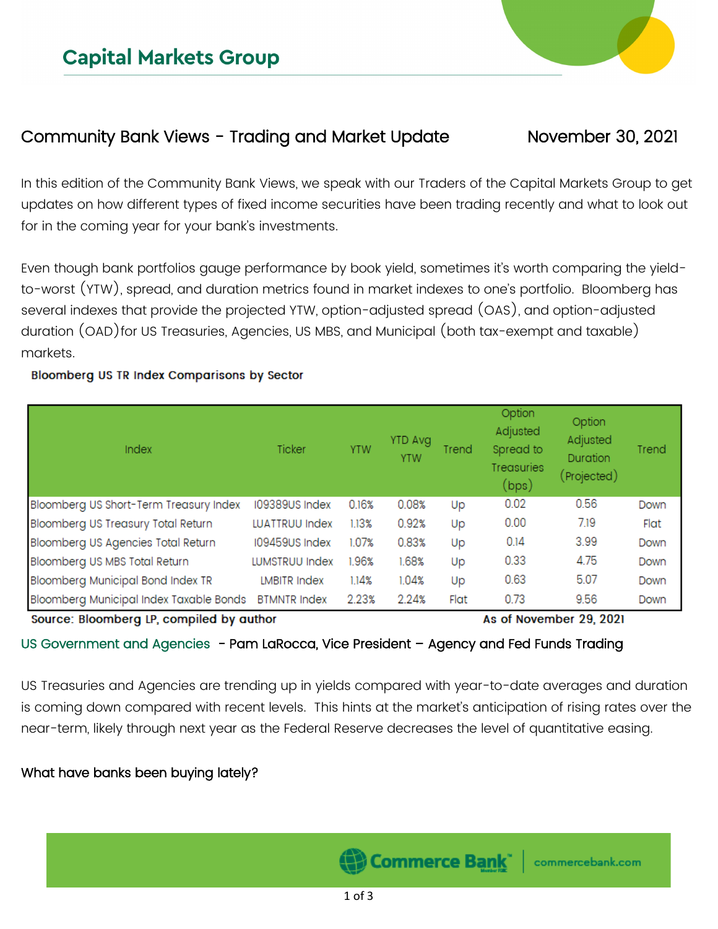# Community Bank Views - Trading and Market Update Movember 30, 2021

In this edition of the Community Bank Views, we speak with our Traders of the Capital Markets Group to get updates on how different types of fixed income securities have been trading recently and what to look out for in the coming year for your bank's investments.

Even though bank portfolios gauge performance by book yield, sometimes it's worth comparing the yieldto-worst (YTW), spread, and duration metrics found in market indexes to one's portfolio. Bloomberg has several indexes that provide the projected YTW, option-adjusted spread (OAS), and option-adjusted duration (OAD)for US Treasuries, Agencies, US MBS, and Municipal (both tax-exempt and taxable) markets.

#### Bloomberg US TR Index Comparisons by Sector

| Index                                    | Ticker                | <b>YTW</b> | <b>YTD Avg</b><br><b>YTW</b> | Trend                   | Option<br>Adjusted<br>Spread to<br><b>Treasuries</b><br>(bps) | Option<br>Adjusted<br>Duration<br>(Projected) | Trend |
|------------------------------------------|-----------------------|------------|------------------------------|-------------------------|---------------------------------------------------------------|-----------------------------------------------|-------|
| Bloomberg US Short-Term Treasury Index   | 109389US Index        | 0.16%      | 0.08%                        | Up                      | 0.02                                                          | 0.56                                          | Down  |
| Bloomberg US Treasury Total Return       | <b>LUATTRUU Index</b> | 1.13%      | 0.92%                        | Up                      | 0.00                                                          | 7.19                                          | Flat  |
| Bloomberg US Agencies Total Return       | 109459US Index        | 1.07%      | 0.83%                        | Up                      | 0.14                                                          | 3.99                                          | Down  |
| Bloomberg US MBS Total Return            | LUMSTRUU Index        | 1.96%      | 1.68%                        | Up                      | 0.33                                                          | 4.75                                          | Down  |
| Bloomberg Municipal Bond Index TR        | <b>LMBITR Index</b>   | 1.14%      | 1.04%                        | Up                      | 0.63                                                          | 5.07                                          | Down  |
| Bloomberg Municipal Index Taxable Bonds  | <b>BTMNTR Index</b>   | 2.23%      | 2.24%                        | Flat                    | 0.73                                                          | 9.56                                          | Down  |
| Source: Bloomberg LP, compiled by author |                       |            |                              | As of November 29, 2021 |                                                               |                                               |       |

#### US Government and Agencies - Pam LaRocca, Vice President - Agency and Fed Funds Trading

US Treasuries and Agencies are trending up in yields compared with year-to-date averages and duration is coming down compared with recent levels. This hints at the market's anticipation of rising rates over the near-term, likely through next year as the Federal Reserve decreases the level of quantitative easing.

#### What have banks been buying lately?

Commerce Bank`

commercebank.com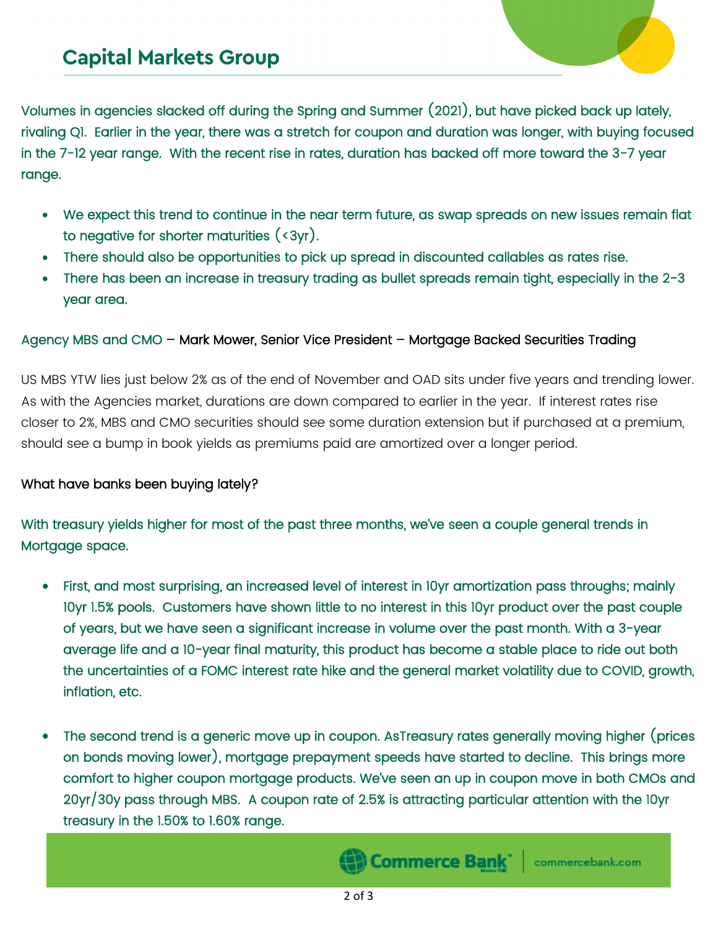Volumes in agencies slacked off during the Spring and Summer (2021), but have picked back up lately, rivaling Q1. Earlier in the year, there was a stretch for coupon and duration was longer, with buying focused in the 7-12 year range. With the recent rise in rates, duration has backed off more toward the 3-7 year range.

- We expect this trend to continue in the near term future, as swap spreads on new issues remain flat to negative for shorter maturities (<3yr).
- There should also be opportunities to pick up spread in discounted callables as rates rise.
- There has been an increase in treasury trading as bullet spreads remain tight, especially in the 2-3 year area.

#### Agency MBS and CMO – Mark Mower, Senior Vice President – Mortgage Backed Securities Trading

US MBS YTW lies just below 2% as of the end of November and OAD sits under five years and trending lower. As with the Agencies market, durations are down compared to earlier in the year. If interest rates rise closer to 2%, MBS and CMO securities should see some duration extension but if purchased at a premium, should see a bump in book yields as premiums paid are amortized over a longer period.

#### What have banks been buying lately?

With treasury yields higher for most of the past three months, we've seen a couple general trends in Mortgage space.

- First, and most surprising, an increased level of interest in 10yr amortization pass throughs; mainly 10yr 1.5% pools. Customers have shown little to no interest in this 10yr product over the past couple of years, but we have seen a significant increase in volume over the past month. With a 3-year average life and a 10-year final maturity, this product has become a stable place to ride out both the uncertainties of a FOMC interest rate hike and the general market volatility due to COVID, growth, inflation, etc.
- The second trend is a generic move up in coupon. AsTreasury rates generally moving higher (prices on bonds moving lower), mortgage prepayment speeds have started to decline. This brings more comfort to higher coupon mortgage products. We've seen an up in coupon move in both CMOs and 20yr/30y pass through MBS. A coupon rate of 2.5% is attracting particular attention with the 10yr treasury in the 1.50% to 1.60% range.